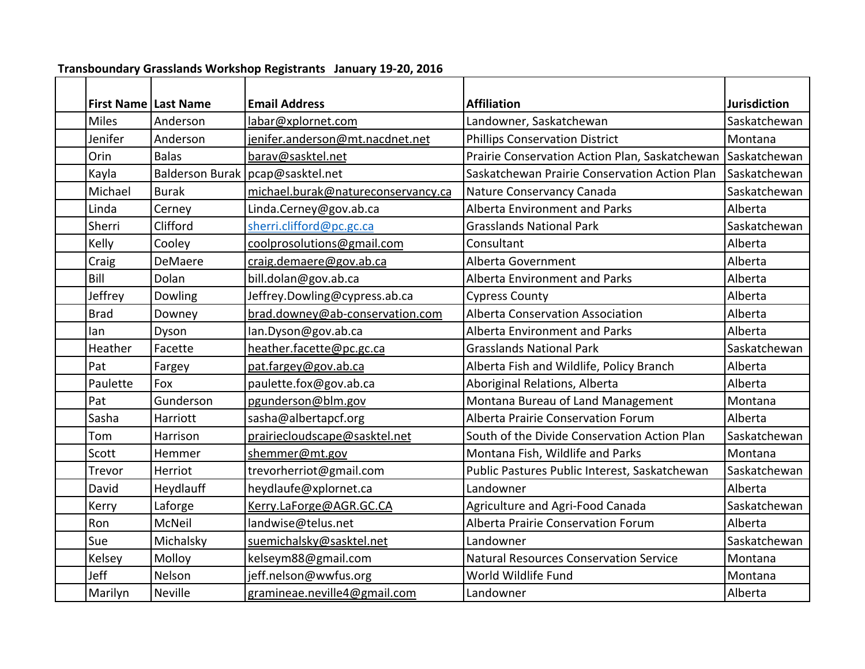| Transboundary Grasslands Workshop Registrants January 19-20, 2016 |              |                                    |                                                |                     |  |
|-------------------------------------------------------------------|--------------|------------------------------------|------------------------------------------------|---------------------|--|
| <b>First Name Last Name</b>                                       |              | <b>Email Address</b>               | <b>Affiliation</b>                             | <b>Jurisdiction</b> |  |
| <b>Miles</b>                                                      | Anderson     | labar@xplornet.com                 | Landowner, Saskatchewan                        | Saskatchewan        |  |
| Jenifer                                                           | Anderson     | jenifer.anderson@mt.nacdnet.net    | <b>Phillips Conservation District</b>          | Montana             |  |
| Orin                                                              | <b>Balas</b> | barav@sasktel.net                  | Prairie Conservation Action Plan, Saskatchewan | Saskatchewan        |  |
| Kayla                                                             |              | Balderson Burak   pcap@sasktel.net | Saskatchewan Prairie Conservation Action Plan  | Saskatchewan        |  |
| Michael                                                           | <b>Burak</b> | michael.burak@natureconservancy.ca | Nature Conservancy Canada                      | Saskatchewan        |  |
| Linda                                                             | Cerney       | Linda.Cerney@gov.ab.ca             | <b>Alberta Environment and Parks</b>           | Alberta             |  |
| Sherri                                                            | Clifford     | sherri.clifford@pc.gc.ca           | <b>Grasslands National Park</b>                | Saskatchewan        |  |
| Kelly                                                             | Cooley       | coolprosolutions@gmail.com         | Consultant                                     | Alberta             |  |
| Craig                                                             | DeMaere      | craig.demaere@gov.ab.ca            | Alberta Government                             | Alberta             |  |
| Bill                                                              | Dolan        | bill.dolan@gov.ab.ca               | <b>Alberta Environment and Parks</b>           | Alberta             |  |
| Jeffrey                                                           | Dowling      | Jeffrey.Dowling@cypress.ab.ca      | <b>Cypress County</b>                          | Alberta             |  |
| <b>Brad</b>                                                       | Downey       | brad.downey@ab-conservation.com    | <b>Alberta Conservation Association</b>        | Alberta             |  |
| lan                                                               | Dyson        | lan.Dyson@gov.ab.ca                | <b>Alberta Environment and Parks</b>           | Alberta             |  |
| Heather                                                           | Facette      | heather.facette@pc.gc.ca           | <b>Grasslands National Park</b>                | Saskatchewan        |  |
| Pat                                                               | Fargey       | pat.fargey@gov.ab.ca               | Alberta Fish and Wildlife, Policy Branch       | Alberta             |  |
| Paulette                                                          | Fox          | paulette.fox@gov.ab.ca             | Aboriginal Relations, Alberta                  | Alberta             |  |
| Pat                                                               | Gunderson    | pgunderson@blm.gov                 | Montana Bureau of Land Management              | Montana             |  |
| Sasha                                                             | Harriott     | sasha@albertapcf.org               | <b>Alberta Prairie Conservation Forum</b>      | Alberta             |  |
| Tom                                                               | Harrison     | prairiecloudscape@sasktel.net      | South of the Divide Conservation Action Plan   | Saskatchewan        |  |
| Scott                                                             | Hemmer       | shemmer@mt.gov                     | Montana Fish, Wildlife and Parks               | Montana             |  |
| Trevor                                                            | Herriot      | trevorherriot@gmail.com            | Public Pastures Public Interest, Saskatchewan  | Saskatchewan        |  |
| David                                                             | Heydlauff    | heydlaufe@xplornet.ca              | Landowner                                      | Alberta             |  |
| Kerry                                                             | Laforge      | Kerry.LaForge@AGR.GC.CA            | Agriculture and Agri-Food Canada               | Saskatchewan        |  |
| Ron                                                               | McNeil       | landwise@telus.net                 | <b>Alberta Prairie Conservation Forum</b>      | Alberta             |  |
| Sue                                                               | Michalsky    | suemichalsky@sasktel.net           | Landowner                                      | Saskatchewan        |  |
| Kelsey                                                            | Molloy       | kelseym88@gmail.com                | <b>Natural Resources Conservation Service</b>  | Montana             |  |
| Jeff                                                              | Nelson       | jeff.nelson@wwfus.org              | World Wildlife Fund                            | Montana             |  |
| Marilyn                                                           | Neville      | gramineae.neville4@gmail.com       | Landowner                                      | Alberta             |  |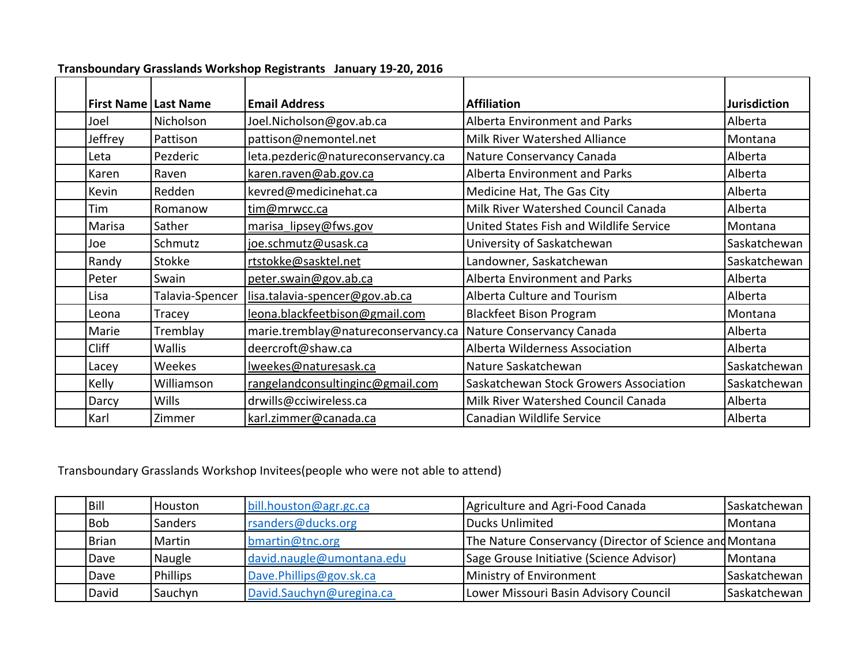| <b>First Name   Last Name</b> |                 | <b>Email Address</b>                | <b>Affiliation</b>                      | <b>Jurisdiction</b> |
|-------------------------------|-----------------|-------------------------------------|-----------------------------------------|---------------------|
| Joel                          | Nicholson       | Joel.Nicholson@gov.ab.ca            | <b>Alberta Environment and Parks</b>    | Alberta             |
| Jeffrey                       | Pattison        | pattison@nemontel.net               | <b>Milk River Watershed Alliance</b>    | Montana             |
| Leta                          | Pezderic        | leta.pezderic@natureconservancy.ca  | Nature Conservancy Canada               | Alberta             |
| Karen                         | Raven           | karen.raven@ab.gov.ca               | <b>Alberta Environment and Parks</b>    | Alberta             |
| Kevin                         | Redden          | kevred@medicinehat.ca               | Medicine Hat, The Gas City              | Alberta             |
| Tim                           | Romanow         | tim@mrwcc.ca                        | Milk River Watershed Council Canada     | Alberta             |
| Marisa                        | Sather          | marisa lipsey@fws.gov               | United States Fish and Wildlife Service | Montana             |
| Joe                           | Schmutz         | joe.schmutz@usask.ca                | University of Saskatchewan              | Saskatchewan        |
| Randy                         | <b>Stokke</b>   | rtstokke@sasktel.net                | Landowner, Saskatchewan                 | Saskatchewan        |
| Peter                         | Swain           | peter.swain@gov.ab.ca               | <b>Alberta Environment and Parks</b>    | Alberta             |
| Lisa                          | Talavia-Spencer | lisa.talavia-spencer@gov.ab.ca      | Alberta Culture and Tourism             | Alberta             |
| Leona                         | Tracey          | leona.blackfeetbison@gmail.com      | <b>Blackfeet Bison Program</b>          | Montana             |
| Marie                         | Tremblay        | marie.tremblay@natureconservancy.ca | Nature Conservancy Canada               | Alberta             |
| <b>Cliff</b>                  | <b>Wallis</b>   | deercroft@shaw.ca                   | Alberta Wilderness Association          | Alberta             |
| Lacey                         | <b>Weekes</b>   | Iweekes@naturesask.ca               | Nature Saskatchewan                     | Saskatchewan        |
| Kelly                         | Williamson      | rangelandconsultinginc@gmail.com    | Saskatchewan Stock Growers Association  | Saskatchewan        |
| Darcy                         | <b>Wills</b>    | drwills@cciwireless.ca              | Milk River Watershed Council Canada     | Alberta             |
| Karl                          | Zimmer          | karl.zimmer@canada.ca               | Canadian Wildlife Service               | Alberta             |

## **Transboundary Grasslands Workshop Registrants January 19-20, 2016**

Transboundary Grasslands Workshop Invitees(people who were not able to attend)

| Bill       | <b>Houston</b>  | bill.houston@agr.gc.ca    | Agriculture and Agri-Food Canada                        | Saskatchewan |
|------------|-----------------|---------------------------|---------------------------------------------------------|--------------|
| <b>Bob</b> | <b>Sanders</b>  | rsanders@ducks.org        | Ducks Unlimited                                         | Montana      |
| Brian      | Martin          | bmartin@tnc.org           | The Nature Conservancy (Director of Science and Montana |              |
| Dave       | Naugle          | david.naugle@umontana.edu | <b>Sage Grouse Initiative (Science Advisor)</b>         | Montana      |
| Dave       | <b>Phillips</b> | Dave.Phillips@gov.sk.ca   | Ministry of Environment                                 | Saskatchewan |
| David      | Sauchyn         | David.Sauchyn@uregina.ca  | Lower Missouri Basin Advisory Council                   | Saskatchewan |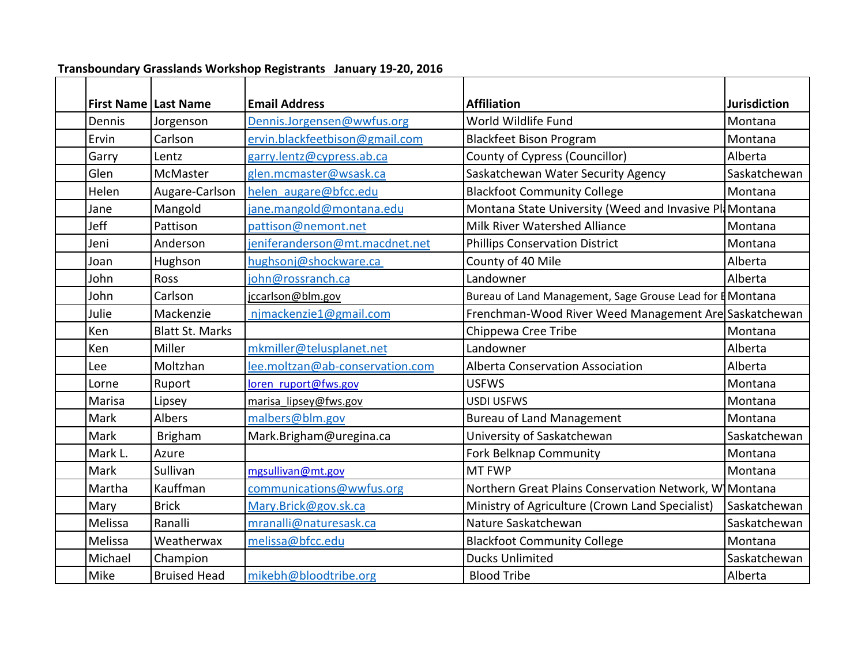|         | <b>First Name Last Name</b> | <b>Email Address</b>            | <b>Affiliation</b>                                        | <b>Jurisdiction</b> |
|---------|-----------------------------|---------------------------------|-----------------------------------------------------------|---------------------|
| Dennis  | Jorgenson                   | Dennis.Jorgensen@wwfus.org      | World Wildlife Fund                                       | Montana             |
| Ervin   | Carlson                     | ervin.blackfeetbison@gmail.com  | <b>Blackfeet Bison Program</b>                            | Montana             |
| Garry   | Lentz                       | garry.lentz@cypress.ab.ca       | <b>County of Cypress (Councillor)</b>                     | Alberta             |
| Glen    | <b>McMaster</b>             | glen.mcmaster@wsask.ca          | Saskatchewan Water Security Agency                        | Saskatchewan        |
| Helen   | Augare-Carlson              | helen augare@bfcc.edu           | <b>Blackfoot Community College</b>                        | Montana             |
| Jane    | Mangold                     | jane.mangold@montana.edu        | Montana State University (Weed and Invasive Pl            | Montana             |
| Jeff    | Pattison                    | pattison@nemont.net             | <b>Milk River Watershed Alliance</b>                      | Montana             |
| Jeni    | Anderson                    | jeniferanderson@mt.macdnet.net  | <b>Phillips Conservation District</b>                     | Montana             |
| Joan    | Hughson                     | hughsonj@shockware.ca           | County of 40 Mile                                         | Alberta             |
| John    | <b>Ross</b>                 | john@rossranch.ca               | Landowner                                                 | Alberta             |
| John    | Carlson                     | jccarlson@blm.gov               | Bureau of Land Management, Sage Grouse Lead for E Montana |                     |
| Julie   | Mackenzie                   | njmackenzie1@gmail.com          | Frenchman-Wood River Weed Management Are Saskatchewan     |                     |
| Ken     | <b>Blatt St. Marks</b>      |                                 | Chippewa Cree Tribe                                       | Montana             |
| Ken     | Miller                      | mkmiller@telusplanet.net        | Landowner                                                 | Alberta             |
| Lee     | Moltzhan                    | lee.moltzan@ab-conservation.com | <b>Alberta Conservation Association</b>                   | Alberta             |
| Lorne   | Ruport                      | loren ruport@fws.gov            | <b>USFWS</b>                                              | Montana             |
| Marisa  | Lipsey                      | marisa lipsey@fws.gov           | USDI USFWS                                                | Montana             |
| Mark    | <b>Albers</b>               | malbers@blm.gov                 | <b>Bureau of Land Management</b>                          | Montana             |
| Mark    | <b>Brigham</b>              | Mark.Brigham@uregina.ca         | University of Saskatchewan                                | Saskatchewan        |
| Mark L. | Azure                       |                                 | Fork Belknap Community                                    | Montana             |
| Mark    | Sullivan                    | mgsullivan@mt.gov               | <b>MT FWP</b>                                             | Montana             |
| Martha  | Kauffman                    | communications@wwfus.org        | Northern Great Plains Conservation Network, W Montana     |                     |
| Mary    | <b>Brick</b>                | Mary.Brick@gov.sk.ca            | Ministry of Agriculture (Crown Land Specialist)           | Saskatchewan        |
| Melissa | Ranalli                     | mranalli@naturesask.ca          | Nature Saskatchewan                                       | Saskatchewan        |
| Melissa | Weatherwax                  | melissa@bfcc.edu                | <b>Blackfoot Community College</b>                        | Montana             |
| Michael | Champion                    |                                 | <b>Ducks Unlimited</b>                                    | Saskatchewan        |
| Mike    | <b>Bruised Head</b>         | mikebh@bloodtribe.org           | <b>Blood Tribe</b>                                        | Alberta             |